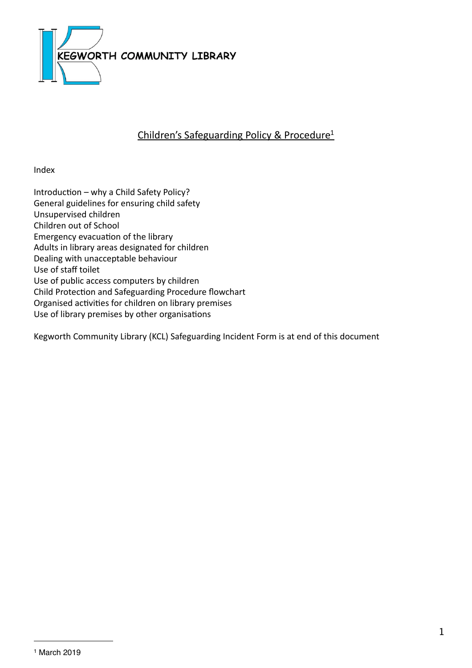

# Children's Safeguarding Policy & Procedure<sup>1</sup>

Index

Introduction - why a Child Safety Policy? General guidelines for ensuring child safety Unsupervised children Children out of School Emergency evacuation of the library Adults in library areas designated for children Dealing with unacceptable behaviour Use of staff toilet Use of public access computers by children Child Protection and Safeguarding Procedure flowchart Organised activities for children on library premises Use of library premises by other organisations

<span id="page-0-0"></span>Kegworth Community Library (KCL) Safeguarding Incident Form is at end of this document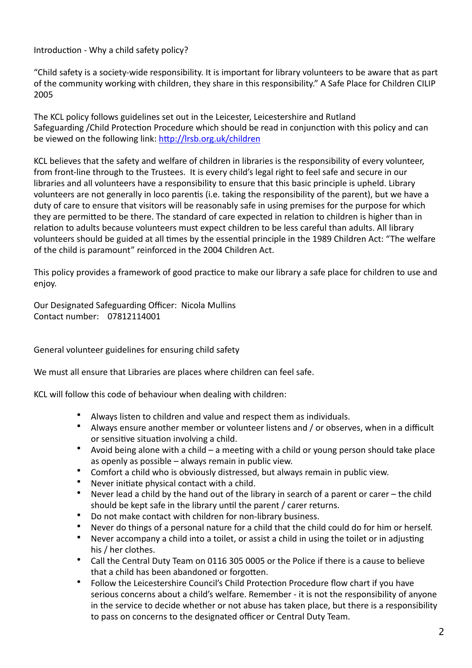Introduction - Why a child safety policy?

"Child safety is a society-wide responsibility. It is important for library volunteers to be aware that as part of the community working with children, they share in this responsibility." A Safe Place for Children CILIP 2005

The KCL policy follows guidelines set out in the Leicester, Leicestershire and Rutland Safeguarding /Child Protection Procedure which should be read in conjunction with this policy and can be viewed on the following link: http://lrsb.org.uk/children

KCL believes that the safety and welfare of children in libraries is the responsibility of every volunteer, from front-line through to the Trustees. It is every child's legal right to feel safe and secure in our libraries and all volunteers have a responsibility to ensure that this basic principle is upheld. Library volunteers are not generally in loco parentis (i.e. taking the responsibility of the parent), but we have a duty of care to ensure that visitors will be reasonably safe in using premises for the purpose for which they are permitted to be there. The standard of care expected in relation to children is higher than in relation to adults because volunteers must expect children to be less careful than adults. All library volunteers should be guided at all times by the essential principle in the 1989 Children Act: "The welfare of the child is paramount" reinforced in the 2004 Children Act.

This policy provides a framework of good practice to make our library a safe place for children to use and enjoy. 

Our Designated Safeguarding Officer: Nicola Mullins Contact number: 07812114001 

General volunteer guidelines for ensuring child safety

We must all ensure that Libraries are places where children can feel safe.

KCL will follow this code of behaviour when dealing with children:

- Always listen to children and value and respect them as individuals.
- Always ensure another member or volunteer listens and / or observes, when in a difficult or sensitive situation involving a child.
- Avoid being alone with a child a meeting with a child or young person should take place as openly as possible  $-$  always remain in public view.
- Comfort a child who is obviously distressed, but always remain in public view.
- Never initiate physical contact with a child.
- Never lead a child by the hand out of the library in search of a parent or carer the child should be kept safe in the library until the parent / carer returns.
- Do not make contact with children for non-library business.
- Never do things of a personal nature for a child that the child could do for him or herself.
- Never accompany a child into a toilet, or assist a child in using the toilet or in adjusting his / her clothes.
- Call the Central Duty Team on 0116 305 0005 or the Police if there is a cause to believe that a child has been abandoned or forgotten.
- Follow the Leicestershire Council's Child Protection Procedure flow chart if you have serious concerns about a child's welfare. Remember - it is not the responsibility of anyone in the service to decide whether or not abuse has taken place, but there is a responsibility to pass on concerns to the designated officer or Central Duty Team.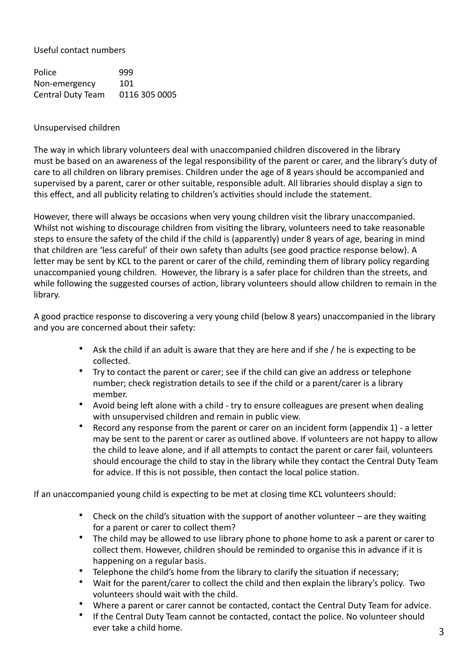Useful contact numbers 

Police 999 Non-emergency 101 Central Duty Team 0116 305 0005

#### Unsupervised children

The way in which library volunteers deal with unaccompanied children discovered in the library must be based on an awareness of the legal responsibility of the parent or carer, and the library's duty of care to all children on library premises. Children under the age of 8 years should be accompanied and supervised by a parent, carer or other suitable, responsible adult. All libraries should display a sign to this effect, and all publicity relating to children's activities should include the statement.

However, there will always be occasions when very young children visit the library unaccompanied. Whilst not wishing to discourage children from visiting the library, volunteers need to take reasonable steps to ensure the safety of the child if the child is (apparently) under 8 years of age, bearing in mind that children are 'less careful' of their own safety than adults (see good practice response below). A letter may be sent by KCL to the parent or carer of the child, reminding them of library policy regarding unaccompanied young children. However, the library is a safer place for children than the streets, and while following the suggested courses of action, library volunteers should allow children to remain in the library.

A good practice response to discovering a very young child (below 8 years) unaccompanied in the library and you are concerned about their safety:

- Ask the child if an adult is aware that they are here and if she / he is expecting to be collected.
- Try to contact the parent or carer; see if the child can give an address or telephone number; check registration details to see if the child or a parent/carer is a library member.
- Avoid being left alone with a child try to ensure colleagues are present when dealing with unsupervised children and remain in public view.
- Record any response from the parent or carer on an incident form (appendix  $1$ ) a letter may be sent to the parent or carer as outlined above. If volunteers are not happy to allow the child to leave alone, and if all attempts to contact the parent or carer fail, volunteers should encourage the child to stay in the library while they contact the Central Duty Team for advice. If this is not possible, then contact the local police station.

If an unaccompanied young child is expecting to be met at closing time KCL volunteers should:

- Check on the child's situation with the support of another volunteer are they waiting for a parent or carer to collect them?
- The child may be allowed to use library phone to phone home to ask a parent or carer to collect them. However, children should be reminded to organise this in advance if it is happening on a regular basis.
- Telephone the child's home from the library to clarify the situation if necessary;
- Wait for the parent/carer to collect the child and then explain the library's policy. Two volunteers should wait with the child.
- Where a parent or carer cannot be contacted, contact the Central Duty Team for advice.
- If the Central Duty Team cannot be contacted, contact the police. No volunteer should ever take a child home.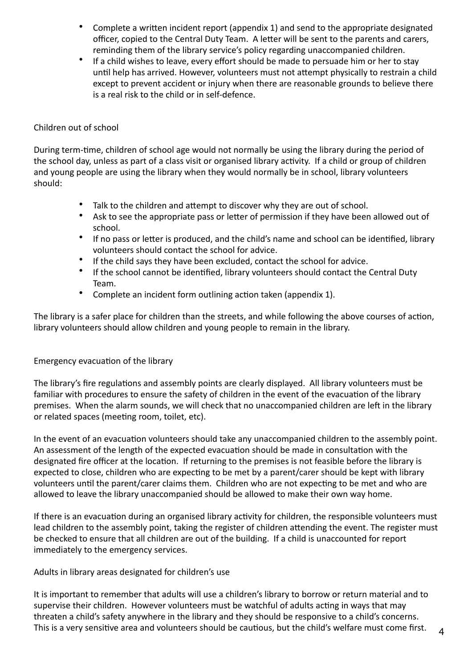- Complete a written incident report (appendix 1) and send to the appropriate designated officer, copied to the Central Duty Team. A letter will be sent to the parents and carers, reminding them of the library service's policy regarding unaccompanied children.
- If a child wishes to leave, every effort should be made to persuade him or her to stay until help has arrived. However, volunteers must not attempt physically to restrain a child except to prevent accident or injury when there are reasonable grounds to believe there is a real risk to the child or in self-defence.

### Children out of school

During term-time, children of school age would not normally be using the library during the period of the school day, unless as part of a class visit or organised library activity. If a child or group of children and young people are using the library when they would normally be in school, library volunteers should:

- Talk to the children and attempt to discover why they are out of school.
- Ask to see the appropriate pass or letter of permission if they have been allowed out of school.
- If no pass or letter is produced, and the child's name and school can be identified, library volunteers should contact the school for advice.
- If the child says they have been excluded, contact the school for advice.
- If the school cannot be identified, library volunteers should contact the Central Duty Team.
- Complete an incident form outlining action taken (appendix 1).

The library is a safer place for children than the streets, and while following the above courses of action, library volunteers should allow children and young people to remain in the library.

# Emergency evacuation of the library

The library's fire regulations and assembly points are clearly displayed. All library volunteers must be familiar with procedures to ensure the safety of children in the event of the evacuation of the library premises. When the alarm sounds, we will check that no unaccompanied children are left in the library or related spaces (meeting room, toilet, etc).

In the event of an evacuation volunteers should take any unaccompanied children to the assembly point. An assessment of the length of the expected evacuation should be made in consultation with the designated fire officer at the location. If returning to the premises is not feasible before the library is expected to close, children who are expecting to be met by a parent/carer should be kept with library volunteers until the parent/carer claims them. Children who are not expecting to be met and who are allowed to leave the library unaccompanied should be allowed to make their own way home.

If there is an evacuation during an organised library activity for children, the responsible volunteers must lead children to the assembly point, taking the register of children attending the event. The register must be checked to ensure that all children are out of the building. If a child is unaccounted for report immediately to the emergency services.

Adults in library areas designated for children's use

It is important to remember that adults will use a children's library to borrow or return material and to supervise their children. However volunteers must be watchful of adults acting in ways that may threaten a child's safety anywhere in the library and they should be responsive to a child's concerns. This is a very sensitive area and volunteers should be cautious, but the child's welfare must come first.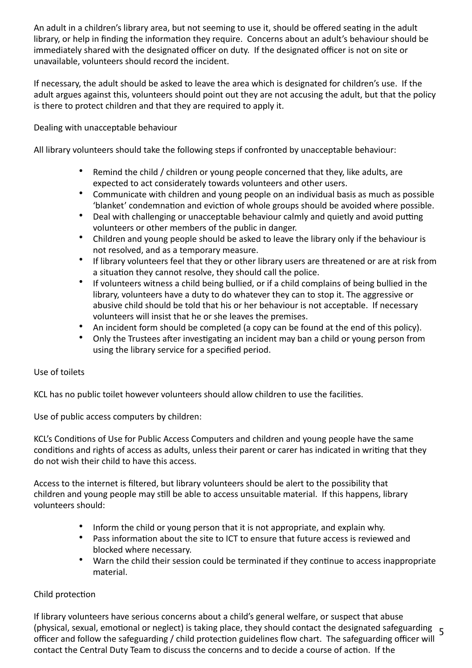An adult in a children's library area, but not seeming to use it, should be offered seating in the adult library, or help in finding the information they require. Concerns about an adult's behaviour should be immediately shared with the designated officer on duty. If the designated officer is not on site or unavailable, volunteers should record the incident.

If necessary, the adult should be asked to leave the area which is designated for children's use. If the adult argues against this, volunteers should point out they are not accusing the adult, but that the policy is there to protect children and that they are required to apply it.

Dealing with unacceptable behaviour

All library volunteers should take the following steps if confronted by unacceptable behaviour:

- Remind the child / children or young people concerned that they, like adults, are expected to act considerately towards volunteers and other users.
- Communicate with children and young people on an individual basis as much as possible 'blanket' condemnation and eviction of whole groups should be avoided where possible.
- Deal with challenging or unacceptable behaviour calmly and quietly and avoid putting volunteers or other members of the public in danger.
- Children and young people should be asked to leave the library only if the behaviour is not resolved, and as a temporary measure.
- If library volunteers feel that they or other library users are threatened or are at risk from a situation they cannot resolve, they should call the police.
- If volunteers witness a child being bullied, or if a child complains of being bullied in the library, volunteers have a duty to do whatever they can to stop it. The aggressive or abusive child should be told that his or her behaviour is not acceptable. If necessary volunteers will insist that he or she leaves the premises.
- An incident form should be completed (a copy can be found at the end of this policy).
- Only the Trustees after investigating an incident may ban a child or young person from using the library service for a specified period.

#### Use of toilets

KCL has no public toilet however volunteers should allow children to use the facilities.

Use of public access computers by children:

KCL's Conditions of Use for Public Access Computers and children and young people have the same conditions and rights of access as adults, unless their parent or carer has indicated in writing that they do not wish their child to have this access.

Access to the internet is filtered, but library volunteers should be alert to the possibility that children and young people may still be able to access unsuitable material. If this happens, library volunteers should:

- Inform the child or young person that it is not appropriate, and explain why.
- Pass information about the site to ICT to ensure that future access is reviewed and blocked where necessary.
- Warn the child their session could be terminated if they continue to access inappropriate material.

# Child protection

(physical, sexual, emotional or neglect) is taking place, they should contact the designated safeguarding 5 If library volunteers have serious concerns about a child's general welfare, or suspect that abuse officer and follow the safeguarding / child protection guidelines flow chart. The safeguarding officer will contact the Central Duty Team to discuss the concerns and to decide a course of action. If the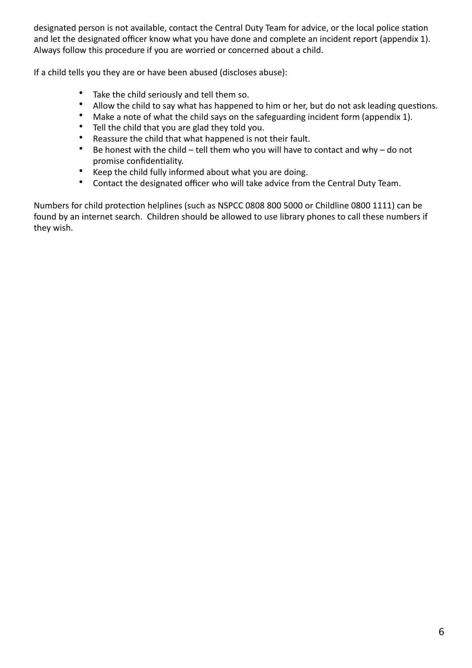designated person is not available, contact the Central Duty Team for advice, or the local police station and let the designated officer know what you have done and complete an incident report (appendix 1). Always follow this procedure if you are worried or concerned about a child.

If a child tells you they are or have been abused (discloses abuse):

- Take the child seriously and tell them so.
- Allow the child to say what has happened to him or her, but do not ask leading questions.
- Make a note of what the child says on the safeguarding incident form (appendix 1).
- Tell the child that you are glad they told you.
- Reassure the child that what happened is not their fault.
- Be honest with the child tell them who you will have to contact and why do not promise confidentiality.
- Keep the child fully informed about what you are doing.
- Contact the designated officer who will take advice from the Central Duty Team.

Numbers for child protection helplines (such as NSPCC 0808 800 5000 or Childline 0800 1111) can be found by an internet search. Children should be allowed to use library phones to call these numbers if they wish.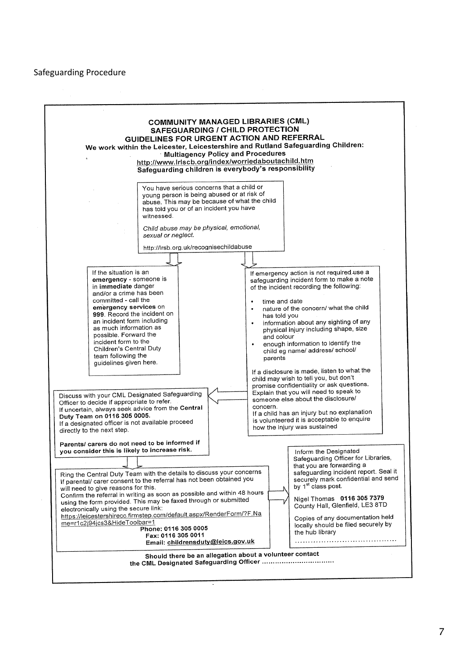#### Safeguarding Procedure

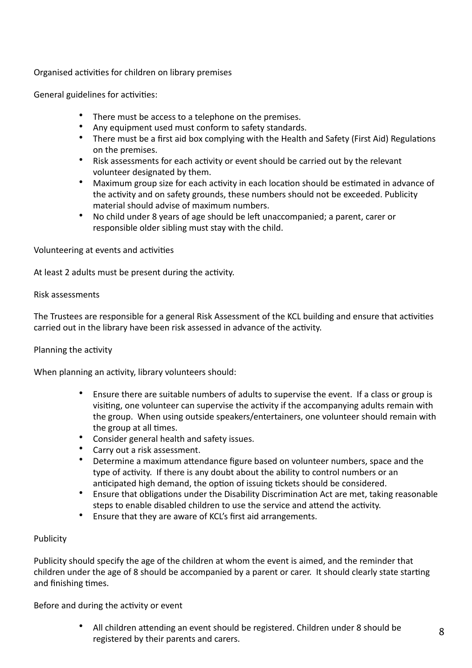### Organised activities for children on library premises

General guidelines for activities:

- There must be access to a telephone on the premises.
- Any equipment used must conform to safety standards.
- There must be a first aid box complying with the Health and Safety (First Aid) Regulations on the premises.
- Risk assessments for each activity or event should be carried out by the relevant volunteer designated by them.
- Maximum group size for each activity in each location should be estimated in advance of the activity and on safety grounds, these numbers should not be exceeded. Publicity material should advise of maximum numbers.
- No child under 8 years of age should be left unaccompanied; a parent, carer or responsible older sibling must stay with the child.

Volunteering at events and activities

At least 2 adults must be present during the activity.

#### Risk assessments

The Trustees are responsible for a general Risk Assessment of the KCL building and ensure that activities carried out in the library have been risk assessed in advance of the activity.

#### Planning the activity

When planning an activity, library volunteers should:

- Ensure there are suitable numbers of adults to supervise the event. If a class or group is visiting, one volunteer can supervise the activity if the accompanying adults remain with the group. When using outside speakers/entertainers, one volunteer should remain with the group at all times.
- Consider general health and safety issues.
- Carry out a risk assessment.
- Determine a maximum attendance figure based on volunteer numbers, space and the type of activity. If there is any doubt about the ability to control numbers or an anticipated high demand, the option of issuing tickets should be considered.
- Ensure that obligations under the Disability Discrimination Act are met, taking reasonable steps to enable disabled children to use the service and attend the activity.
- Ensure that they are aware of KCL's first aid arrangements.

#### **Publicity**

Publicity should specify the age of the children at whom the event is aimed, and the reminder that children under the age of 8 should be accompanied by a parent or carer. It should clearly state starting and finishing times.

Before and during the activity or event

All children attending an event should be registered. Children under 8 should be registered by their parents and carers.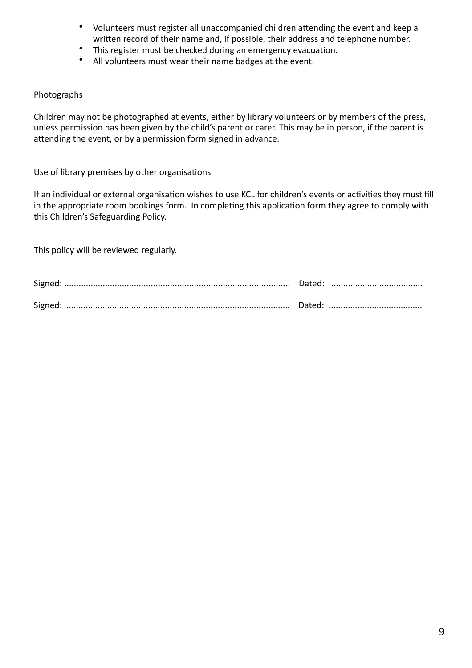- Volunteers must register all unaccompanied children attending the event and keep a written record of their name and, if possible, their address and telephone number.
- This register must be checked during an emergency evacuation.
- All volunteers must wear their name badges at the event.

### Photographs

Children may not be photographed at events, either by library volunteers or by members of the press, unless permission has been given by the child's parent or carer. This may be in person, if the parent is attending the event, or by a permission form signed in advance.

Use of library premises by other organisations

If an individual or external organisation wishes to use KCL for children's events or activities they must fill in the appropriate room bookings form. In completing this application form they agree to comply with this Children's Safeguarding Policy.

This policy will be reviewed regularly.